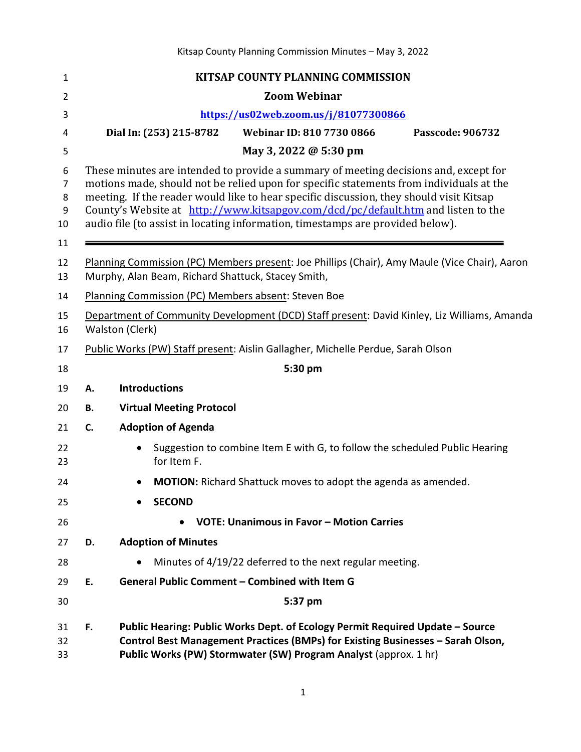Kitsap County Planning Commission Minutes – May 3, 2022 **KITSAP COUNTY PLANNING COMMISSION Zoom Webinar <https://us02web.zoom.us/j/81077300866> Dial In: (253) 215-8782 Webinar ID: 810 7730 0866 Passcode: 906732 May 3, 2022 @ 5:30 pm** 6 These minutes are intended to provide a summary of meeting decisions and, except for<br>7 motions made, should not be relied upon for specific statements from individuals at the 7 motions made, should not be relied upon for specific statements from individuals at the meeting. If the reader would like to hear specific discussion, they should visit Kitsap meeting. If the reader would like to hear specific discussion, they should visit Kitsap 9 County's Website at <u>http://www.kitsapgov.com/dcd/pc/default.htm</u> and listen to the audio file (to assist in locating information, timestamps are provided below). audio file (to assist in locating information, timestamps are provided below). Planning Commission (PC) Members present: Joe Phillips (Chair), Amy Maule (Vice Chair), Aaron Murphy, Alan Beam, Richard Shattuck, Stacey Smith, Planning Commission (PC) Members absent: Steven Boe Department of Community Development (DCD) Staff present: David Kinley, Liz Williams, Amanda Walston (Clerk) Public Works (PW) Staff present: Aislin Gallagher, Michelle Perdue, Sarah Olson **5:30 pm A. Introductions B. Virtual Meeting Protocol C. Adoption of Agenda** • Suggestion to combine Item E with G, to follow the scheduled Public Hearing for Item F. • **MOTION:** Richard Shattuck moves to adopt the agenda as amended. • **SECOND** • **VOTE: Unanimous in Favor – Motion Carries D. Adoption of Minutes**  • Minutes of 4/19/22 deferred to the next regular meeting. **E. General Public Comment – Combined with Item G 5:37 pm F. Public Hearing: Public Works Dept. of Ecology Permit Required Update – Source Control Best Management Practices (BMPs) for Existing Businesses – Sarah Olson, Public Works (PW) Stormwater (SW) Program Analyst** (approx. 1 hr)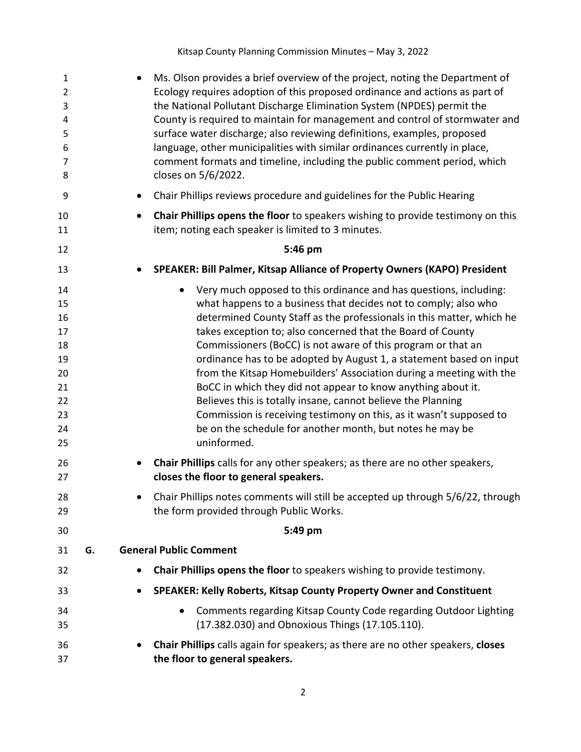Kitsap County Planning Commission Minutes – May 3, 2022

| 1<br>$\overline{2}$<br>3<br>4<br>5<br>6<br>$\overline{7}$<br>8                         |    | Ms. Olson provides a brief overview of the project, noting the Department of<br>Ecology requires adoption of this proposed ordinance and actions as part of<br>the National Pollutant Discharge Elimination System (NPDES) permit the<br>County is required to maintain for management and control of stormwater and<br>surface water discharge; also reviewing definitions, examples, proposed<br>language, other municipalities with similar ordinances currently in place,<br>comment formats and timeline, including the public comment period, which<br>closes on 5/6/2022.                                                                                                                                                                                                                                                                                                                                                                                                                       |
|----------------------------------------------------------------------------------------|----|--------------------------------------------------------------------------------------------------------------------------------------------------------------------------------------------------------------------------------------------------------------------------------------------------------------------------------------------------------------------------------------------------------------------------------------------------------------------------------------------------------------------------------------------------------------------------------------------------------------------------------------------------------------------------------------------------------------------------------------------------------------------------------------------------------------------------------------------------------------------------------------------------------------------------------------------------------------------------------------------------------|
| 9                                                                                      |    | Chair Phillips reviews procedure and guidelines for the Public Hearing                                                                                                                                                                                                                                                                                                                                                                                                                                                                                                                                                                                                                                                                                                                                                                                                                                                                                                                                 |
| 10<br>11                                                                               |    | Chair Phillips opens the floor to speakers wishing to provide testimony on this<br>$\bullet$<br>item; noting each speaker is limited to 3 minutes.                                                                                                                                                                                                                                                                                                                                                                                                                                                                                                                                                                                                                                                                                                                                                                                                                                                     |
| 12                                                                                     |    | 5:46 pm                                                                                                                                                                                                                                                                                                                                                                                                                                                                                                                                                                                                                                                                                                                                                                                                                                                                                                                                                                                                |
| 13                                                                                     |    | SPEAKER: Bill Palmer, Kitsap Alliance of Property Owners (KAPO) President                                                                                                                                                                                                                                                                                                                                                                                                                                                                                                                                                                                                                                                                                                                                                                                                                                                                                                                              |
| 14<br>15<br>16<br>17<br>18<br>19<br>20<br>21<br>22<br>23<br>24<br>25<br>26<br>27<br>28 |    | Very much opposed to this ordinance and has questions, including:<br>$\bullet$<br>what happens to a business that decides not to comply; also who<br>determined County Staff as the professionals in this matter, which he<br>takes exception to; also concerned that the Board of County<br>Commissioners (BoCC) is not aware of this program or that an<br>ordinance has to be adopted by August 1, a statement based on input<br>from the Kitsap Homebuilders' Association during a meeting with the<br>BoCC in which they did not appear to know anything about it.<br>Believes this is totally insane, cannot believe the Planning<br>Commission is receiving testimony on this, as it wasn't supposed to<br>be on the schedule for another month, but notes he may be<br>uninformed.<br>Chair Phillips calls for any other speakers; as there are no other speakers,<br>closes the floor to general speakers.<br>Chair Phillips notes comments will still be accepted up through 5/6/22, through |
| 29                                                                                     |    | the form provided through Public Works.                                                                                                                                                                                                                                                                                                                                                                                                                                                                                                                                                                                                                                                                                                                                                                                                                                                                                                                                                                |
| 30<br>31                                                                               | G. | 5:49 pm<br><b>General Public Comment</b>                                                                                                                                                                                                                                                                                                                                                                                                                                                                                                                                                                                                                                                                                                                                                                                                                                                                                                                                                               |
| 32                                                                                     |    | Chair Phillips opens the floor to speakers wishing to provide testimony.<br>$\bullet$                                                                                                                                                                                                                                                                                                                                                                                                                                                                                                                                                                                                                                                                                                                                                                                                                                                                                                                  |
| 33                                                                                     |    | SPEAKER: Kelly Roberts, Kitsap County Property Owner and Constituent<br>$\bullet$                                                                                                                                                                                                                                                                                                                                                                                                                                                                                                                                                                                                                                                                                                                                                                                                                                                                                                                      |
| 34<br>35                                                                               |    | Comments regarding Kitsap County Code regarding Outdoor Lighting<br>(17.382.030) and Obnoxious Things (17.105.110).                                                                                                                                                                                                                                                                                                                                                                                                                                                                                                                                                                                                                                                                                                                                                                                                                                                                                    |
| 36<br>37                                                                               |    | Chair Phillips calls again for speakers; as there are no other speakers, closes<br>the floor to general speakers.                                                                                                                                                                                                                                                                                                                                                                                                                                                                                                                                                                                                                                                                                                                                                                                                                                                                                      |